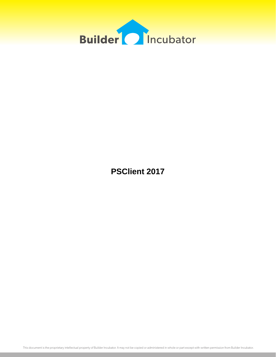

**PSClient 2017**

This document is the proprietary intellectual property of Builder Incubator. It may not be copied or administered in whole or part except with written permission from Builder Incubator.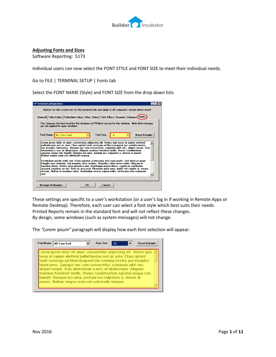

## **Adjusting Fonts and Sizes**

Software Reporting: 5173

Individual users can now select the FONT STYLE and FONT SIZE to meet their individual needs.

Go to FILE | TERMINAL SETUP | Fonts tab

Select the FONT NAME (Style) and FONT SIZE from the drop down lists

| are not applied to open windows.<br>Font Name: MS Sans Serif | Font Size:                                  | General   ToDo Colors   Scheduler Colors   Misc. Color   ToDo Filters   Scanner   Columns (Fonts )<br>This changes the font used for the windows in PSClient except for this window. Note that changes |                                                                                                                                                                                                                                                                                                                                                                                                                                                                                                                                                                                                                                                                                                                                                                                                                                                                                        |
|--------------------------------------------------------------|---------------------------------------------|--------------------------------------------------------------------------------------------------------------------------------------------------------------------------------------------------------|----------------------------------------------------------------------------------------------------------------------------------------------------------------------------------------------------------------------------------------------------------------------------------------------------------------------------------------------------------------------------------------------------------------------------------------------------------------------------------------------------------------------------------------------------------------------------------------------------------------------------------------------------------------------------------------------------------------------------------------------------------------------------------------------------------------------------------------------------------------------------------------|
|                                                              |                                             |                                                                                                                                                                                                        |                                                                                                                                                                                                                                                                                                                                                                                                                                                                                                                                                                                                                                                                                                                                                                                                                                                                                        |
|                                                              |                                             |                                                                                                                                                                                                        |                                                                                                                                                                                                                                                                                                                                                                                                                                                                                                                                                                                                                                                                                                                                                                                                                                                                                        |
|                                                              |                                             |                                                                                                                                                                                                        | <b>Reset Defaults</b>                                                                                                                                                                                                                                                                                                                                                                                                                                                                                                                                                                                                                                                                                                                                                                                                                                                                  |
|                                                              |                                             | Lorem ipsum dolor sit amet, consectetur adipiscing elit. Donec quis lacus in sapien eleifend                                                                                                           |                                                                                                                                                                                                                                                                                                                                                                                                                                                                                                                                                                                                                                                                                                                                                                                                                                                                                        |
|                                                              |                                             |                                                                                                                                                                                                        |                                                                                                                                                                                                                                                                                                                                                                                                                                                                                                                                                                                                                                                                                                                                                                                                                                                                                        |
|                                                              | Nullam tempor enim vel sollicitudin tempus. |                                                                                                                                                                                                        | pellentesque sed ac urna. Class aptent taciti sociosqu ad litora torquent per conubia nostra,<br>per inceptos himenaeos. Quisque nec sem consectetur, commodo nibh nec, aliquet neque. Duis<br>elementum a eros at ullamcorper. Aliguam maximus hendrerit mollis. Donec condimentum<br>egestas negue non blandit. Quisque leo urna, pretium nec vulputate a, viverra at mauris.<br>Vestibulum iaculis nulla sem. Etiam egestas scelerisque eros eget mattis. Sed rhoncus guam<br>fringilla arcu molestie, sed maximus arcu facilisis. Phasellus vitae lectus tellus. Aliguam ut<br>faucibus libero. Donec vitae pharetra sem. Vestibulum mauris libero, sagittis in vestibulum<br>suscipit, faucibus ac nisi. Duis eu arcu erat. Phasellus iusto urna, mattis vel sagittis at, ornare<br>id risus. Nullam et maximus tortor. Vestibulum viverra sapien nulla, vel lacinia ante commodo |

These settings are specific to a user's workstation (or a user's log in if working in Remote Apps or Remote Desktop). Therefore, each user can select a font style which best suits their needs. Printed Reports remain in the standard font and will not reflect these changes. By design, some windows (such as system messages) will not change.

The *"Lorem ipsum"* paragraph will display how each font selection will appear.

| Font Name: | <b>MS Sans Serif</b>                                                                                                                                                                                                                                                                                                                                                                                                                                                                                                                 | <b>Font Size:</b> | 12 <sup>2</sup> | <b>Reset Defaults</b> |
|------------|--------------------------------------------------------------------------------------------------------------------------------------------------------------------------------------------------------------------------------------------------------------------------------------------------------------------------------------------------------------------------------------------------------------------------------------------------------------------------------------------------------------------------------------|-------------------|-----------------|-----------------------|
|            | Lorem ipsum dolor sit amet, consectetur adipiscing elit. Donec quis<br>lacus in sapien eleifend pellentesque sed ac urna. Class aptent<br>taciti sociosqu ad litora torquent per conubia nostra, per inceptos<br>himenaeos. Quisque nec sem consectetur, commodo nibh nec,<br>aliquet neque. Duis elementum a eros at ullamcorper. Aliquam<br>maximus hendrerit mollis. Donec condimentum eqestas neque non<br>blandit. Quisque leo urna, pretium nec vulputate a, viverra at<br>mauris. Nullam tempor enim vel sollicitudin tempus. |                   |                 |                       |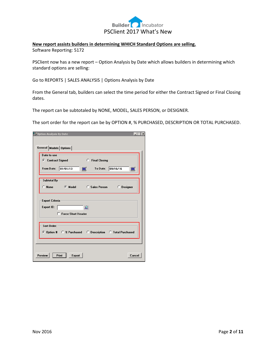

#### **New report assists builders in determining WHICH Standard Options are selling.**

Software Reporting: 5172

PSClient now has a new report – Option Analysis by Date which allows builders in determining which standard options are selling:

Go to REPORTS | SALES ANALYSIS | Options Analysis by Date

From the General tab, builders can select the time period for either the Contract Signed or Final Closing dates.

The report can be subtotaled by NONE, MODEL, SALES PERSON, or DESIGNER.

The sort order for the report can be by OPTION #, % PURCHASED, DESCRIPTION OR TOTAL PURCHASED.

| Option Analysis By Date                                                             |
|-------------------------------------------------------------------------------------|
|                                                                                     |
| General  Models   Options                                                           |
| Date to use                                                                         |
| C Contract Signed<br>О.<br><b>Final Closing</b>                                     |
| 01/01/13<br>To Date: 09/16/16<br>圖<br>From Date:<br>圖                               |
| Subtotal By                                                                         |
| $\subset$ None<br><b>C</b> Model<br><b>Example 1</b> Sales Person <b>C</b> Designer |
| <b>Export Criteria</b>                                                              |
| <b>Export ID:</b><br>ℒ                                                              |
| <b>Force Short Header</b>                                                           |
|                                                                                     |
| Sort Order:                                                                         |
| ⊙ Option # ○ % Purchased  ○ Description  ○ Total Purchased                          |
|                                                                                     |
|                                                                                     |
| Preview<br>Print<br><b>Export</b><br>Cancel                                         |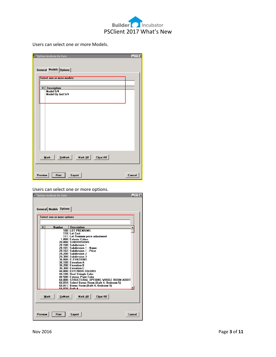

Users can select one or more Models.

| Option Analysis By Date                            | $=$ $\Box$ $\times$ |
|----------------------------------------------------|---------------------|
|                                                    |                     |
| General Models Options                             |                     |
| Select one or more models:                         |                     |
| x <sub>1</sub><br><b>Description</b>               |                     |
| Model 5/4<br>Model Up Grd 5/4                      |                     |
|                                                    |                     |
|                                                    |                     |
|                                                    |                     |
|                                                    |                     |
|                                                    |                     |
| Mark All<br><u>U</u> nMark<br>Clear All<br>$M$ ark |                     |
|                                                    |                     |
| Preview<br>Print<br><b>Export</b>                  | Cancel              |

Users can select one or more options.

|   | General Models Options<br>Select one or more options |                                                                   |  |
|---|------------------------------------------------------|-------------------------------------------------------------------|--|
|   |                                                      |                                                                   |  |
| x | <b>Number</b>                                        | <b>Description</b>                                                |  |
|   | 100                                                  | <b>LOT PREMIUMS</b><br>110 Lot Cost                               |  |
|   |                                                      | 111 Lot Premium price adjustment                                  |  |
|   |                                                      | 1.000 Exterior Colors                                             |  |
|   |                                                      | 20.000 SUBDIVISIONS                                               |  |
|   |                                                      | 20,100 Subdivision 1                                              |  |
|   |                                                      | 20.101 Subdivision 1 - Name                                       |  |
|   |                                                      | 20.102 Subdivision 1 - Price                                      |  |
|   |                                                      | 20.200 Subdivision 2                                              |  |
|   |                                                      | 20.300 Subdivision 3                                              |  |
|   |                                                      | 30.000 ELEVATIONS<br>30,100 Elevation A                           |  |
|   |                                                      | 30,200 Elevation B                                                |  |
|   |                                                      | 30,300 Elevation C                                                |  |
|   |                                                      | 40,000 EXTERIOR COLORS                                            |  |
|   |                                                      | 40,100 Roof Shingle Color                                         |  |
|   |                                                      | 40.500 Exterior Paint Color                                       |  |
|   |                                                      | 60,000 STRUCTURAL OPTIONS WHOLE ROOM ADDIT                        |  |
|   |                                                      | 60,010 Select Bonus Room (Bath 4, Bedroom 5)                      |  |
|   |                                                      | 60,011 Bonus Room (Bath 4, Bedroom 5)<br><u> 60.020   Rath 4.</u> |  |
|   | <b>UnMark</b><br><b>Mark</b>                         | Mark All<br><b>Clear All</b>                                      |  |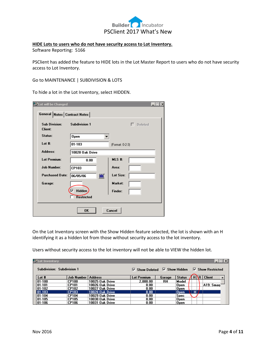

#### **HIDE Lots to users who do not have security access to Lot Inventory.**

Software Reporting: 5166

PSClient has added the feature to HIDE lots in the Lot Master Report to users who do not have security access to Lot Inventory.

Go to MAINTENANCE | SUBDIVISION & LOTS

To hide a lot in the Lot Inventory, select HIDDEN.

| Lot will be Changed                    |                      | $\Box$          |
|----------------------------------------|----------------------|-----------------|
| General Notes   Contract Notes         |                      |                 |
| <b>Sub Division:</b><br><b>Client:</b> | <b>Subdivision 1</b> | Deleted         |
| Status:                                | Open                 |                 |
| Lot $#$ :                              | $01 - 103$           | (Format: 0-2-3) |
| Address:                               | 10028 Oak Drive      |                 |
| <b>Lot Premium:</b>                    | 0.00                 | $MLS$ #:        |
| <b>Job Number:</b>                     | CP103                | Area:           |
| <b>Purchased Date:</b>                 | 圖<br>06/05/06        | Lot Size:       |
| Garage:                                |                      | Market:         |
|                                        | ⊽<br>Hidden          | Finder:         |
|                                        | <b>Restricted</b>    |                 |
|                                        | OK                   | Cancel          |

On the Lot Inventory screen with the Show Hidden feature selected, the lot is shown with an H identifying it as a hidden lot from those without security access to the lot inventory.

Users without security access to the lot inventory will not be able to VIEW the hidden lot.

| <b>E</b> Lot Inventory     |                             |                   |                                                                                       |           |               |    |                   | $ \Box $ $\Box $ $\times$ $\parallel$ |
|----------------------------|-----------------------------|-------------------|---------------------------------------------------------------------------------------|-----------|---------------|----|-------------------|---------------------------------------|
| Subdivision: Subdivision 1 |                             |                   | $\overline{V}$ Show Deleted $\overline{V}$ Show Hidden $\overline{V}$ Show Restricted |           |               |    |                   |                                       |
| Lot#                       | <b>Job Number   Address</b> |                   | <b>Lot Premium</b>                                                                    | Garage    | <b>Status</b> | Hı | <b>R</b>   Client |                                       |
| $01 - 100$                 | <b>CP100</b>                | 10025 Oak Drive   | 2.000.00                                                                              | <b>RH</b> | Model         |    |                   |                                       |
| 101-101                    | <b>CP101</b>                | 10026 Oak Drive   | 0.00                                                                                  |           | Open          |    | A19: Smag:        |                                       |
| 01-102                     | <b>CP102</b>                | 10027 Oak Drive   | 0.00                                                                                  |           | Open          |    |                   |                                       |
| $ 01-103 $                 | <b>CP103</b>                | $10028$ Oak Drive | 0.00                                                                                  |           | <b>Open</b>   | HI |                   |                                       |
| $01 - 104$                 | <b>CP104</b>                | 10029 Oak Drive   | 0.00                                                                                  |           | <b>Spec</b>   |    |                   |                                       |
| 01-105                     | <b>CP105</b>                | 10030 Oak Drive   | 0.00                                                                                  |           | Open          |    |                   |                                       |
| 01-106                     | <b>CP106</b>                | 10031 Oak Drive   | 0.00                                                                                  |           | Open          |    |                   |                                       |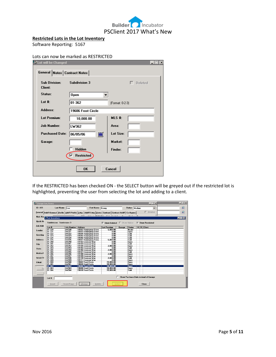

| <b>Restricted Lots in the Lot Inventory</b> |
|---------------------------------------------|
|---------------------------------------------|

Software Reporting: 5167

#### Lots can now be marked as RESTRICTED

| <b>Ex<sup>\$</sup>Lot will be Changed</b> |                        | $\Box$           |
|-------------------------------------------|------------------------|------------------|
| General Notes   Contract Notes            |                        |                  |
| <b>Sub Division:</b><br><b>Client:</b>    | <b>Subdivision 3</b>   | г<br>Deleted     |
| Status:                                   | <b>Open</b>            |                  |
| Lot $#$ :                                 | 01-362                 | (Format: 0-2-3)  |
| Address:                                  | 19606 Frost Circle     |                  |
| <b>Lot Premium:</b>                       | 10,000.00              | $MLS$ #:         |
| <b>Job Number:</b>                        | LW362                  | Area:            |
| <b>Purchased Date:</b>                    | 圖<br>06/05/06          | <b>Lot Size:</b> |
| Garage:                                   |                        | Market:          |
|                                           | <b>Hidden</b>          | Finder:          |
|                                           | <b>Restricted</b><br>☞ |                  |
|                                           | <b>OK</b>              | Cancel           |

If the RESTRICTED has been checked ON - the SELECT button will be greyed out if the restricted lot is highlighted, preventing the user from selecting the lot and adding to a client.

| Change: Lee, Kenny |                            |                   |                                                                                                                             |                                            |        |                  | $ \Box$ $\times$                     |                                        | $ \Box$ $\times$ |
|--------------------|----------------------------|-------------------|-----------------------------------------------------------------------------------------------------------------------------|--------------------------------------------|--------|------------------|--------------------------------------|----------------------------------------|------------------|
| <b>ID: A11</b>     |                            | Last Name: Lee    | First Name: Kenny                                                                                                           |                                            |        | Status: Medium   | $\overline{\phantom{a}}$             |                                        | ₽                |
|                    |                            |                   | General   Addt'l General   Profile   Addt'l Profile   Entry   Addt'l Entry   Dates   Contract   Contract Addt'l   Co-Buyers |                                            |        |                  | $\Gamma$ Deleted                     |                                        | ℒ                |
|                    |                            |                   |                                                                                                                             |                                            |        |                  |                                      |                                        |                  |
|                    | Nick Nat we Lot Inventory  |                   | OC IS CH.                                                                                                                   | $\sim$ 1<br>0.14.0                         |        |                  |                                      |                                        |                  |
|                    |                            |                   |                                                                                                                             |                                            |        |                  |                                      | $\blacksquare$ $\blacksquare$ $\times$ |                  |
| <b>Quick No</b>    | Subdivision: Subdivision 3 |                   |                                                                                                                             | $\nabla$ Show Deleted $\Gamma$ Show Hidden |        |                  | $\nabla$ Show Restricted             |                                        |                  |
| <b>Job Addr</b>    | Lot #                      | <b>Job Number</b> | <b>Address</b>                                                                                                              | <b>Lot Premium</b>                         | Garage | <b>Status</b>    | $H \,   \, R \,  $ Client            |                                        |                  |
| Lender:            | 01-320                     | $L = 320$         | 18502 Hemingway Drive                                                                                                       | 5.000.00                                   |        | Model            |                                      |                                        |                  |
|                    | 01-321                     | Lw321             | 18503 Hemingway Drive                                                                                                       | 0.00                                       |        | <b>Open</b>      |                                      |                                        |                  |
|                    | 01-322                     | LW322             | 18504 Hemingway Drive                                                                                                       | 0.00                                       |        | Sold             |                                      |                                        |                  |
| Greeting           | 01-323                     | LW323             | 18505 Hemingway Drive                                                                                                       | 0.00                                       |        | Sold             |                                      |                                        |                  |
|                    | 01-324                     | LW324             | 18506 Hemingway Drive                                                                                                       | 0.00                                       |        | Sold             |                                      |                                        |                  |
| Address:           | 01-325                     | LW325             | 18507 Hemingway Drive                                                                                                       | 5.000.00                                   |        | Sold             |                                      |                                        |                  |
|                    | 01-340                     | LW340             | 19102 Emerson Wav                                                                                                           | 0.00                                       |        | <b>Open</b>      |                                      |                                        |                  |
| City:              | 01-341                     | LW341             | 19103 Emerson Wav                                                                                                           | n nn                                       |        | Sold             |                                      |                                        |                  |
|                    | 01-342                     | LW342             | 19104 Emerson Wav                                                                                                           | 2.000.00                                   |        | <b>Open</b>      |                                      |                                        |                  |
| State:             | 01-343                     | LW343             | 19105 Emerson Way                                                                                                           | 0.00                                       |        | Sold             |                                      |                                        |                  |
|                    | 01-344                     | LV344             | 19106 Emerson Way                                                                                                           | 2,000.00                                   |        | <b>O</b> nen     |                                      |                                        |                  |
| Mobile/H           | 01-345                     | LW345             | 19107 Emerson Wav                                                                                                           | 0.00                                       |        | Sold             |                                      |                                        |                  |
|                    | 01-346                     | LW346             | 19108 Emerson Wav                                                                                                           | 2,000.00                                   |        | <b>O</b> nen     |                                      |                                        |                  |
|                    | 01-347                     | LW347             | 19109 Emerson Wav                                                                                                           | 0.00                                       |        | <b>Open</b>      |                                      |                                        |                  |
| Work/FA            | 01-348                     | LW348             | 19110 Emerson Way                                                                                                           | 2.000.00                                   |        | Sold             |                                      |                                        |                  |
|                    | 01-349                     | LW349             | 19111 Emerson Wav                                                                                                           | 0.00                                       |        | <b>Open</b>      |                                      |                                        |                  |
| EMail:             | 01-360                     | LW360             | 19602 Frost Circle                                                                                                          | 15.000.00                                  |        | <b>Open</b>      |                                      |                                        |                  |
|                    | 01-361                     | LW361             | 19604 Frost Circle                                                                                                          | 10.000.00                                  |        | <b>Open</b>      |                                      |                                        |                  |
|                    | 01-362                     | LW362             | <b>19606 Frost Circle</b>                                                                                                   | 10.000.00                                  |        | <b>Open</b>      | ΪR.                                  |                                        |                  |
| E١                 | 01-363                     | LW363             | 19608 Frost Circle                                                                                                          | 10.000.00                                  |        | 0 <sub>pen</sub> |                                      |                                        |                  |
|                    | 01-364                     | LW364             | 19610 Frost Circle                                                                                                          | 15.000.00                                  |        | Sold             |                                      |                                        |                  |
|                    |                            |                   |                                                                                                                             |                                            |        |                  | Show Purchase Date instead of Garage |                                        |                  |
|                    | Lot #:                     |                   |                                                                                                                             |                                            |        |                  |                                      |                                        |                  |
|                    | Insert                     | Insert/Copy       | Change<br><b>Delete</b>                                                                                                     |                                            | Select |                  | <b>Close</b>                         |                                        |                  |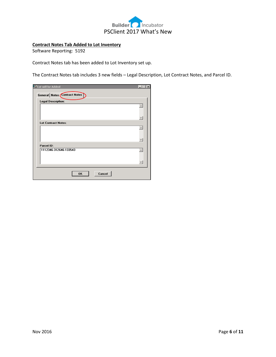

## **Contract Notes Tab Added to Lot Inventory**

Software Reporting: 5192

Contract Notes tab has been added to Lot Inventory set up.

The Contract Notes tab includes 3 new fields – Legal Description, Lot Contract Notes, and Parcel ID.

| Lot will be Added<br>General Notes Contract Notes | $\times$<br>$-1$ |
|---------------------------------------------------|------------------|
| Legal Description:                                |                  |
|                                                   |                  |
| <b>Lot Contract Notes:</b>                        |                  |
|                                                   |                  |
|                                                   |                  |
| Parcel ID:                                        |                  |
| 1112346-312646-133543                             |                  |
|                                                   |                  |
| Cancel<br><b>OK</b>                               |                  |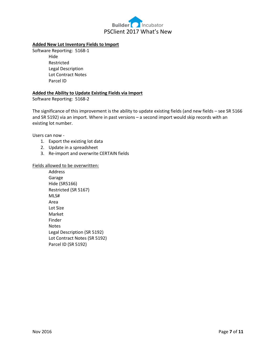

#### **Added New Lot Inventory Fields to Import**

Software Reporting: 5168-1 Hide Restricted Legal Description Lot Contract Notes Parcel ID

#### **Added the Ability to Update Existing Fields via Import**

Software Reporting: 5168-2

The significance of this improvement is the ability to update existing fields (and new fields – see SR 5166 and SR 5192) via an import. Where in past versions – a second import would skip records with an existing lot number.

Users can now -

- 1. Export the existing lot data
- 2. Update in a spreadsheet
- 3. Re-import and overwrite CERTAIN fields

#### Fields allowed to be overwritten:

Address Garage Hide (SR5166) Restricted (SR 5167) MLS# Area Lot Size Market Finder Notes Legal Description (SR 5192) Lot Contract Notes (SR 5192) Parcel ID (SR 5192)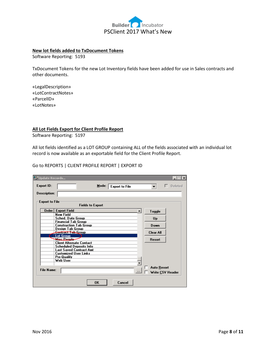

#### **New lot fields added to TxDocument Tokens**

Software Reporting: 5193

TxDocument Tokens for the new Lot Inventory fields have been added for use in Sales contracts and other documents.

«LegalDescription» «LotContractNotes» «ParcelID» «LotNotes»

#### **All Lot Fields Export for Client Profile Report**

Software Reporting: 5197

All lot fields identified as a LOT GROUP containing ALL of the fields associated with an individual lot record is now available as an exportable field for the Client Profile Report.

Go to REPORTS | CLIENT PROFILE REPORT | EXPORT ID

| Update Records        |                                                   |                       |   |                    | $=$ $\Box$ $\times$ |
|-----------------------|---------------------------------------------------|-----------------------|---|--------------------|---------------------|
| <b>Export ID:</b>     | Mode:                                             | <b>Export to File</b> |   | ▼                  | Deleted             |
| <b>Description:</b>   |                                                   |                       |   |                    |                     |
| <b>Export to File</b> | <b>Fields to Export</b>                           |                       |   |                    |                     |
| Order                 | <b>Export Field</b>                               |                       | ▲ | Toggle             |                     |
|                       | <b>New Field</b>                                  |                       |   |                    |                     |
|                       | Sched. Date Group                                 |                       |   | Up                 |                     |
|                       | <b>Financial Tab Group</b>                        |                       |   |                    |                     |
|                       | <b>Construction Tab Group</b><br>Design Tab Group |                       |   | Down               |                     |
|                       | <del>Contract Tab G</del> roup                    |                       |   | <b>Clear All</b>   |                     |
|                       | <b>Lot Group</b>                                  |                       |   |                    |                     |
|                       | <b>Misc People</b>                                |                       |   | <b>Resort</b>      |                     |
|                       | <b>Client Alternate Contact</b>                   |                       |   |                    |                     |
|                       | <b>Scheduled Deposits Info</b>                    |                       |   |                    |                     |
|                       | <b>Last Saved Contract Amt</b>                    |                       |   |                    |                     |
|                       | <b>Customized User Links</b>                      |                       |   |                    |                     |
|                       | Pre-Qualify                                       |                       |   |                    |                     |
|                       | Web User                                          |                       |   |                    |                     |
| <b>File Name:</b>     |                                                   |                       |   | <b>Auto Resort</b> | Write CSV Header    |
|                       | <b>OK</b>                                         | Cancel                |   |                    |                     |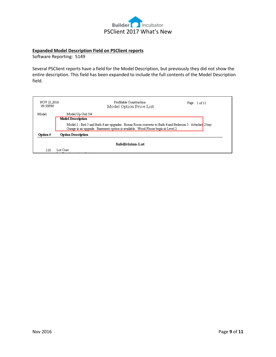

#### **Expanded Model Description Field on PSClient reports**

Software Reporting: 5149

Several PSClient reports have a field for the Model Description, but previously they did not show the entire description. This field has been expanded to include the full contents of the Model Description field.

| NOV 21,2016<br>09:50PM | Profitable Construction<br>Model Option Price List                                                                                                                                        | Page: $1 of 11$ |  |
|------------------------|-------------------------------------------------------------------------------------------------------------------------------------------------------------------------------------------|-----------------|--|
| Model:                 | Model Up Grd 5/4                                                                                                                                                                          |                 |  |
|                        | Model Description                                                                                                                                                                         |                 |  |
|                        | Model 1 - Bed 5 and Bath 4 are upgrades. Bonus Room converts to Bath 4 and Bedroom 5. Attached 2 bay<br>Garage is an upgrade. Basement option is available. Wood Floors begin at Level 2. |                 |  |
| Option #               | Option Description                                                                                                                                                                        |                 |  |
| <b>Subdivision-Lot</b> |                                                                                                                                                                                           |                 |  |
| 110                    | Lot Cost                                                                                                                                                                                  |                 |  |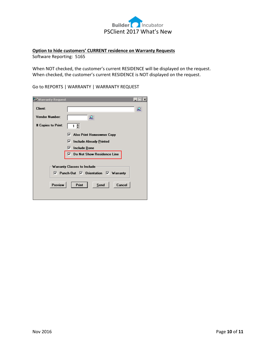

## **Option to hide customers' CURRENT residence on Warranty Requests**

Software Reporting: 5165

When NOT checked, the customer's current RESIDENCE will be displayed on the request. When checked, the customer's current RESIDENCE is NOT displayed on the request.

Go to REPORTS | WARRANTY | WARRANTY REQUEST

| warranty Request أ <del>ن</del> أ                                           | $\times$                              |  |  |
|-----------------------------------------------------------------------------|---------------------------------------|--|--|
| <b>Client:</b>                                                              | ℒ                                     |  |  |
| Vendor Number:                                                              | ₽                                     |  |  |
| # Copies to Print:                                                          | 1 층                                   |  |  |
|                                                                             | <b>Also Print Homeowner Copy</b><br>⊽ |  |  |
|                                                                             | ⊽<br><b>Include Already Printed</b>   |  |  |
|                                                                             | Include Done<br> ⊽                    |  |  |
|                                                                             | $\nabla$ Do Not Show Residence Line   |  |  |
|                                                                             |                                       |  |  |
| Warranty Classes to Include                                                 |                                       |  |  |
| $\overline{V}$ Punch-Out $\overline{V}$ Orientation $\overline{V}$ Warranty |                                       |  |  |
| Preview<br><b>Print</b><br>Cancel<br>Send                                   |                                       |  |  |
|                                                                             |                                       |  |  |